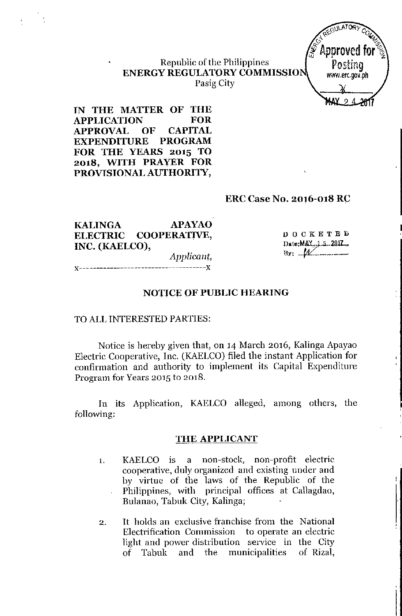

#### Republic of the Philippines **ENERGY REGULATORYCOMMISSIO** Pasig City

**IN THE MATTER 01' THE APPLICATION FOR APPROVAL OF CAPITAL EXPENDITURE PROGRAM FOR THE YEARS 2015 TO 2018, WITH PRAYER FOR PROVISIONAL AUTHORrIY,**

#### **ERC Case No. 2016-018 RC**

**KALINGA APAYAO**<br>**ELECTRIC COOPERATIVE, ELECTRIC COOPERATIVE, INC. (KAELCO),**

DOCKETED Date: MAY \_\_ 1.5.2017.  $By: M$ 

I

*Applicant,* x--~----------------------------------x

#### **NOTICE OF PUBLIC HEARING**

#### TO ALLINTERESTED PARTIES:

Notice is hereby given that, on 14 March *2016,* Kalinga Apayao Electric Cooperative, Inc. (KAELCO) filed the instant Application for confirmation and authority to implement its Capital Expenditure Program for Years *2015* to *2018.*

In its Application, KAELCO alleged, among others, the following:

#### **THE APPLICANT**

- 1. KAELCO is a non-stock, non-profit electric cooperative, duly organized and existing under and by virtue of the laws of the Republic of the Philippines, with principal offices at Callagdao, Bulanao, Tabuk City, Kalinga;
- 2. It holds an exclusive franchise from the National Electrification Commission to operate an electric light and power distribution service in the City of Tabuk and the municipalities of Rizal,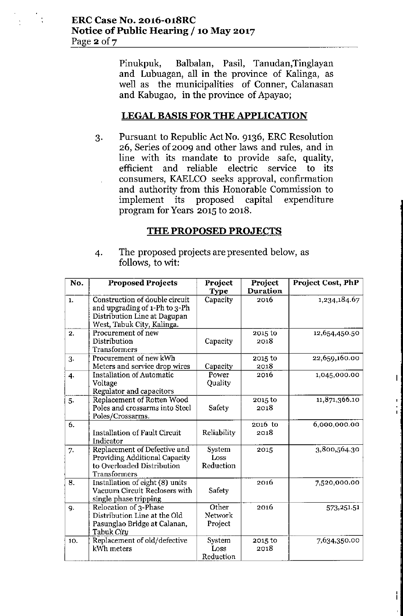Pinukpuk, Balbalan, Pasil, Tanudan,Tinglayan and Lubuagan, all in the province of Kalinga, as well as the municipalities of Conner, Calanasan and Kabugao, in the province of Apayao;

# **LEGAL BASIS FOR THE APPLICATION**

3. Pursuant to Republic ActNo. 9136, ERC Resolution 26, Series of 2009 and other laws and rules, and in line with its mandate to provide safe, quality, efficient and reliable electric service to its consumers, KAELCO seeks approval, confirmation and authority from this Honorable Commission to implement its proposed capital expenditure program for Years 2015 to 2018.

# **THE PROPOSED PROJECTS**

4. The proposed projects are presented below, as follows, to wit:

| No.              | <b>Proposed Projects</b>                                                                                                      | Project<br><b>Type</b>      | Project<br><b>Duration</b> | Project Cost, PhP |
|------------------|-------------------------------------------------------------------------------------------------------------------------------|-----------------------------|----------------------------|-------------------|
| 1.               | Construction of double circuit<br>and upgrading of 1-Ph to 3-Ph<br>Distribution Line at Dagupan<br>West, Tabuk City, Kalinga. | Capacity                    | 2016                       | 1,234,184.67      |
| 2.               | Procurement of new<br>Distribution<br>Transformers                                                                            | Capacity                    | 2015 to<br>2018            | 12,654,450.50     |
| 3.               | Procurement of new kWh<br>Meters and service drop wires                                                                       | Capacity                    | 2015 to<br>2018            | 22,659,160.00     |
| 4.               | <b>Installation of Automatic</b><br>Voltage<br>Regulator and capacitors                                                       | Power<br>Quality            | 2016                       | 1,045,000.00      |
| 5.               | Replacement of Rotten Wood<br>Poles and crossarms into Steel<br>Poles/Crossarms.                                              | Safety                      | 2015 to<br>2018            | 11,871,366.10     |
| $\overline{6}$ . | <b>Installation of Fault Circuit</b><br>Indicator                                                                             | Reliability                 | 2016 to<br>2018            | 6,000,000.00      |
| 7.               | Replacement of Defective and<br>Providing Additional Capacity<br>to Overloaded Distribution<br>Transformers                   | System<br>Loss<br>Reduction | 2015                       | 3,800,564.30      |
| 8.               | Installation of eight (8) units<br>Vacuum Circuit Reclosers with<br>single phase tripping                                     | Safety                      | 2016                       | 7,520,000.00      |
| 9.               | Relocation of 3-Phase<br>Distribution Line at the Old<br>Pasunglao Bridge at Calanan,<br>Tabuk City                           | Other<br>Network<br>Project | 2016                       | 573, 251.51       |
| 10.              | Replacement of old/defective<br>kWh meters                                                                                    | System<br>Loss<br>Reduction | 2015 to<br>2018            | 7,634,350.00      |

L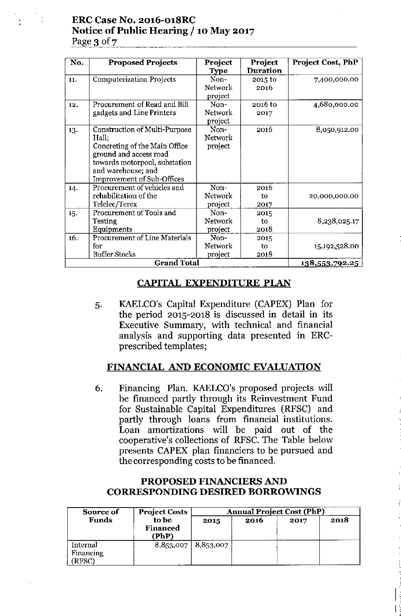## ERC Case No. 2016-018RC Notice of Public Hearing /10 May 2017 Page  $3$  of  $7$

| No. | <b>Proposed Projects</b>                                                                                                                                                                             | Project<br><b>Type</b>            | Project<br><b>Duration</b> | <b>Project Cost, PhP</b> |
|-----|------------------------------------------------------------------------------------------------------------------------------------------------------------------------------------------------------|-----------------------------------|----------------------------|--------------------------|
| 11. | <b>Computerization Projects</b>                                                                                                                                                                      | Non-<br><b>Network</b><br>project | 2015 to<br>2016            | 7,400,000.00             |
| 12. | Procurement of Read and Bill<br>gadgets and Line Printers                                                                                                                                            | Non-<br>Network<br>project        | 2016 to<br>2017            | 4,680,000.00             |
| 13. | <b>Construction of Multi-Purpose</b><br>Hall;<br>Concreting of the Main Office<br>ground and access road<br>towards motorpool, substation<br>and warehouse; and<br><b>Improvement of Sub-Offices</b> | Non-<br>Network<br>project        | 2016                       | 8,050,912.00             |
| 14. | Procurement of vehicles and<br>rehabilitation of the<br>Telelec/Terex                                                                                                                                | Non-<br>Network<br>project        | 2016<br>to<br>2017         | 20,000,000.00            |
| 15. | Procurement of Tools and<br>Testing<br>Equipments                                                                                                                                                    | Non-<br>Network<br>project        | 2015<br>to<br>2018         | 8,238,025.17             |
| 16. | <b>Procurement of Line Materials</b><br>for<br><b>Buffer Stocks</b>                                                                                                                                  | Non-<br>Network<br>project        | 2015<br>to<br>2018         | 15,192,528.00            |
|     | <b>Grand Total</b>                                                                                                                                                                                   | <u>138,553,792.25</u>             |                            |                          |

# CAPITAL EXPENDITURE PLAN

5. KAELCO's Capital Expenditure (CAPEX) Plan for the period 2015-2018 is discussed in detail in its Executive Summary, with technical and financial analysis and supporting data presented in ERCprescribed templates;

# FINANCIAL AND ECONOMIC EVALUATION

6. Financing Plan. KAELCO's proposed projects will be financed partly through its Reinvestment Fund for Sustainable Capital Expenditures (RFSC) and partly through loans from financial institutions. Loan amortizations will be paid out of the cooperative's collections of RFSC.The Table below presents CAPEX plan financiers to be pursued and the corresponding costs to be financed.

#### PROPOSED FINANCIERS AND CORRESPONDING DESIRED BORROWINGS

| Source of                      | <b>Project Costs</b>       | <b>Annual Project Cost (PhP)</b> |      |      |      |
|--------------------------------|----------------------------|----------------------------------|------|------|------|
| <b>Funds</b>                   | to be<br>Financed<br>(PhP) | 2015                             | 2016 | 2017 | 2018 |
| Internal<br>Financing<br>RFSC) | 8,853,007                  | 8,853,007                        |      |      |      |

I I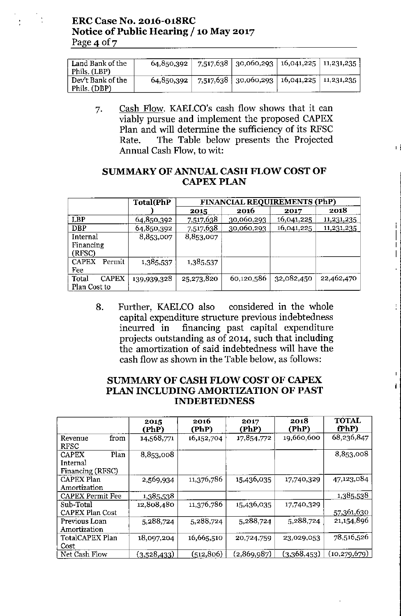| Land Bank of the<br>Phils. (LBP)  | 64,850,392 | $7,517,638$   30,060,293   16,041,225   11,231,235 |  |
|-----------------------------------|------------|----------------------------------------------------|--|
| Dev't Bank of the<br>Phils. (DBP) | 64,850,392 | $7,517,638$   30,060,293   16,041,225   11,231,235 |  |

7. Cash Flow. KAELCO's cash flow shows that it can viably pursue and implement the proposed CAPEX Plan and will determine the sufficiency of its RFSC Rate. The Table below presents the Projected Annual Cash Flow, to wit:  $\int$  is a set of the set of the set of the set of the set of the set of the set of the set of the set of the set of the set of the set of the set of the set of the set of the set of the set of the

## **SUMMARY OF ANNUAL CASH FLOW COST OF CAPEX PLAN**

|                        | <b>Total</b> (PhP | FINANCIAL REQUIREMENTS (PhP) |            |            |            |  |
|------------------------|-------------------|------------------------------|------------|------------|------------|--|
|                        |                   | 2015                         | 2016       | 2017       | 2018       |  |
| LBP                    | 64,850,392        | 7,517,638                    | 30,060,293 | 16,041,225 | 11,231,235 |  |
| <b>DBP</b>             | 64,850,392        | 7,517,638                    | 30,060,293 | 16,041,225 | 11,231,235 |  |
| Internal               | 8,853,007         | 8,853,007                    |            |            |            |  |
| Financing              |                   |                              |            |            |            |  |
| (RFSC)                 |                   |                              |            |            |            |  |
| <b>CAPEX</b><br>Permit | 1,385,537         | 1,385,537                    |            |            |            |  |
| Fee                    |                   |                              |            |            |            |  |
| Total<br><b>CAPEX</b>  | 139,939,328       | 25,273,820                   | 60,120,586 | 32,082,450 | 22,462,470 |  |
| Plan Cost to           |                   |                              |            |            |            |  |

8. Further, KAELCO also considered in the whole capital expenditure structure previous indebtedness incurred in financing past capital expenditure projects outstanding as of 2014, such that including the amortization of said indebtedness will have the cash flow as shown in the Table below, as follows:

# **SUMMARY OF CASH FLOW COST OF CAPEX PLAN INCLUDING AMORTIZATION OF PAST INDEBTEDNESS**

|                                                      | 2015<br>(PhP) | 2016<br>(PhP) | 2017<br>(PhP) | 2018<br>(PhP) | <b>TOTAL</b><br>fPhP) |
|------------------------------------------------------|---------------|---------------|---------------|---------------|-----------------------|
| from<br>Revenue<br><b>RFSC</b>                       | 14,568,771    | 16, 152, 704  | 17,854,772    | 19,660,600    | 68,236,847            |
| Plan<br><b>CAPEX</b><br>Internal<br>Financing (RFSC) | 8,853,008     |               |               |               | 8,853,008             |
| CAPEX Plan<br>Amortization                           | 2,569,934     | 11,376,786    | 15,436,035    | 17,740,329    | 47,123,084            |
| <b>CAPEX Permit Fee</b>                              | 1,385,538     |               |               |               | 1,385,538             |
| Sub-Total<br><b>CAPEX Plan Cost</b>                  | 12,808,480    | 11,376,786    | 15,436,035    | 17,740,329    | 57,361,630            |
| Previous Loan<br>Amortization                        | 5,288,724     | 5,288,724     | 5,288,724     | 5,288,724     | 21,154,896            |
| TotalCAPEX Plan<br>Cost                              | 18,097,204    | 16,665,510    | 20,724,759    | 23,029,053    | 78,516,526            |
| Net Cash Flow                                        | (3,528,433)   | (512,806)     | (2,869,987)   | (3,368,453)   | (10, 279, 679)        |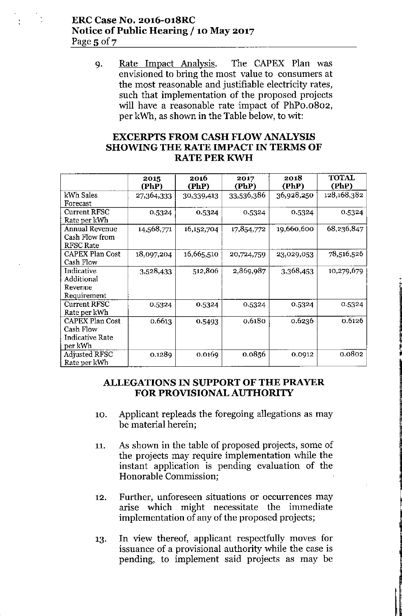## **ERC Case No. 2016-o18RC Notice of Public Hearing / 10 May 2017** Page  $5$  of  $7$

9. Rate Impact Analysis. The CAPEX Plan was envisioned to bring the most value to consumers at the most reasonable and justifiable electricity rates, such that implementation of the proposed projects will have a reasonable rate impact of PhPo.o802, per kWh, as shown in the Table below, to wit:

## **EXCERPTS FROM CASH FLOW ANALYSIS SHOWING THE RATE IMPACT IN TERMS OF** RATE PER KWH

|                                                                          | 2015<br>(PhP) | 2016<br>(PhP) | 2017<br>(PhP) | 2018<br>(PhP) | <b>TOTAL</b><br>(PhP) |
|--------------------------------------------------------------------------|---------------|---------------|---------------|---------------|-----------------------|
| kWh Sales<br>Forecast                                                    | 27,364,333    | 30,339,413    | 33,536,386    | 36,928,250    | 128,168,382           |
| <b>Current RFSC</b><br>Rate per kWh                                      | 0.5324        | 0.5324        | 0.5324        | 0.5324        | 0.5324                |
| <b>Annual Revenue</b><br>Cash Flow from<br><b>RFSC Rate</b>              | 14,568,771    | 16,152,704    | 17,854,772    | 19,660,600    | 68,236,847            |
| <b>CAPEX Plan Cost</b><br>Cash Flow                                      | 18,097,204    | 16,665,510    | 20,724,759    | 23,029,053    | 78,516,526            |
| Indicative<br>Additional<br>Revenue<br>Requirement                       | 3,528,433     | 512,806       | 2,869,987     | 3,368,453     | 10,279,679            |
| <b>Current RFSC</b><br>Rate per kWh                                      | 0.5324        | 0.5324        | 0.5324        | 0.5324        | 0.5324                |
| <b>CAPEX Plan Cost</b><br>Cash Flow<br><b>Indicative Rate</b><br>per kWh | 0.6613        | 0.5493        | 0.6180        | 0.6236        | 0.6126                |
| <b>Adjusted RFSC</b><br>Rate per kWh                                     | 0.1289        | 0.0169        | 0.0856        | 0.0912        | 0.0802                |

l~

## **ALLEGATIONS IN SUPPORT OF THE PRAYER FOR PROVISIONAL AUTHORITY**

- 10. Applicant repleads the foregoing allegations as may be material herein;
- 11. As shown in the table of proposed projects, some of the projects may require implementation while the instant application is pending evaluation of the Honorable Commission;
- 12. Further, unforeseen situations or occurrences may arise which might necessitate the immediate implementation of any of the proposed projects;
- 13. In view thereof, applicant respectfully moves for issuance of a provisional authority while the case is pending, to implement said projects as may be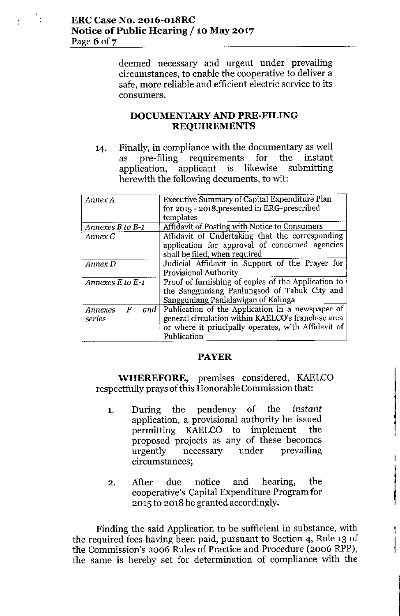deemed necessary and urgent under prevailing circumstances, to enable the cooperative to deliver a safe, more reliable and efficient electric service to its **consumers.**

## **DOCUMENTARY AND PRE-FILING REQUIREMENTS**

14. Finally, in compliance with the documentary as well as pre-filing requirements for the instant application, applicant is likewise submitting herewith the following documents, to wit:

| Annex A               | Executive Summary of Capital Expenditure Plan       |  |  |
|-----------------------|-----------------------------------------------------|--|--|
|                       | for 2015 - 2018, presented in ERG-prescribed        |  |  |
|                       | templates                                           |  |  |
| Annexes $B$ to $B$ -1 | Affidavit of Posting with Notice to Consumers       |  |  |
| Annex C               | Affidavit of Undertaking that the corresponding     |  |  |
|                       | application for approval of concerned agencies      |  |  |
|                       | shall be filed, when required                       |  |  |
| Annex D               | Judicial Affidavit in Support of the Prayer for     |  |  |
|                       | <b>Provisional Authority</b>                        |  |  |
| Annexes $E$ to $E$ -1 | Proof of furnishing of copies of the Application to |  |  |
|                       | the Sangguniang Panlungsod of Tabuk City and        |  |  |
|                       | Sangguniang Panlalawigan of Kalinga                 |  |  |
| and  <br>F<br>Annexes | Publication of the Application in a newspaper of    |  |  |
| series                | general circulation within KAELCO's franchise area  |  |  |
|                       | or where it principally operates, with Affidavit of |  |  |
|                       | Publication                                         |  |  |

#### **PAYER**

**WHEREFORE,** premises considered, KAELCO respectfully prays of this Honorable Commission that:

- 1. During the pendency of the *instant* application, a provisional authority be issued permitting KAELCO to implement the proposed projects as any of these becomes urgently necessary under prevailing **circumstances;**
- 2. After due notice and hearing, the cooperative's Capital Expenditure Program for 2015 to 2018 be granted accordingly.

Finding the said Application to be sufficient in substance, with the required fees having been paid, pursuant to Section 4, Rule 13 of the Commission's 2006 Rules of Practice and Procedure (2006 RPP), the same is hereby set for determination of compliance with the

1